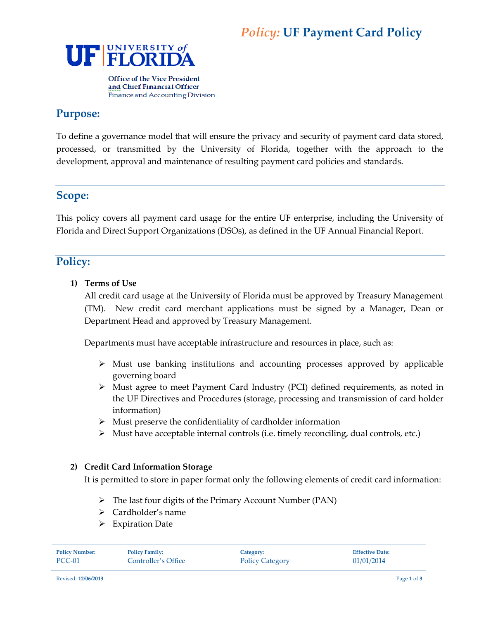

**Office of the Vice President** and Chief Financial Officer Finance and Accounting Division

# **Purpose:**

To define a governance model that will ensure the privacy and security of payment card data stored, processed, or transmitted by the University of Florida, together with the approach to the development, approval and maintenance of resulting payment card policies and standards.

## **Scope:**

This policy covers all payment card usage for the entire UF enterprise, including the University of Florida and Direct Support Organizations (DSOs), as defined in the UF Annual Financial Report.

# **Policy:**

### **1) Terms of Use**

All credit card usage at the University of Florida must be approved by Treasury Management (TM). New credit card merchant applications must be signed by a Manager, Dean or Department Head and approved by Treasury Management.

Departments must have acceptable infrastructure and resources in place, such as:

- $\triangleright$  Must use banking institutions and accounting processes approved by applicable governing board
- Must agree to meet Payment Card Industry (PCI) defined requirements, as noted in the UF Directives and Procedures (storage, processing and transmission of card holder information)
- $\triangleright$  Must preserve the confidentiality of cardholder information
- $\triangleright$  Must have acceptable internal controls (i.e. timely reconciling, dual controls, etc.)

### **2) Credit Card Information Storage**

It is permitted to store in paper format only the following elements of credit card information:

- $\triangleright$  The last four digits of the Primary Account Number (PAN)
- > Cardholder's name
- > Expiration Date

| <b>Policy Number:</b> | <b>Policy Family:</b> | Category:              | <b>Effective Date:</b> |
|-----------------------|-----------------------|------------------------|------------------------|
| PCC-01                | Controller's Office   | <b>Policy Category</b> | 01/01/2014             |

Revised: **12/06/2013** Page **1** of **3**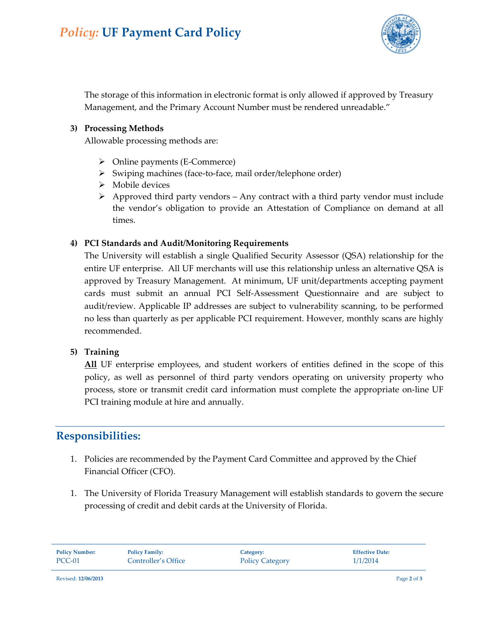

The storage of this information in electronic format is only allowed if approved by Treasury Management, and the Primary Account Number must be rendered unreadable."

#### **3) Processing Methods**

Allowable processing methods are:

- $\triangleright$  Online payments (E-Commerce)
- $\triangleright$  Swiping machines (face-to-face, mail order/telephone order)
- > Mobile devices
- $\triangleright$  Approved third party vendors Any contract with a third party vendor must include the vendor's obligation to provide an Attestation of Compliance on demand at all times.

#### **4) PCI Standards and Audit/Monitoring Requirements**

The University will establish a single Qualified Security Assessor (QSA) relationship for the entire UF enterprise. All UF merchants will use this relationship unless an alternative QSA is approved by Treasury Management. At minimum, UF unit/departments accepting payment cards must submit an annual PCI Self-Assessment Questionnaire and are subject to audit/review. Applicable IP addresses are subject to vulnerability scanning, to be performed no less than quarterly as per applicable PCI requirement. However, monthly scans are highly recommended.

#### **5) Training**

**All** UF enterprise employees, and student workers of entities defined in the scope of this policy, as well as personnel of third party vendors operating on university property who process, store or transmit credit card information must complete the appropriate on-line UF PCI training module at hire and annually.

## **Responsibilities:**

- 1. Policies are recommended by the Payment Card Committee and approved by the Chief Financial Officer (CFO).
- 1. The University of Florida Treasury Management will establish standards to govern the secure processing of credit and debit cards at the University of Florida.

| <b>Policy Number:</b><br><b>Policy Family:</b><br>Category:<br>PCC-01<br>Controller's Office<br><b>Policy Category</b> | <b>Effective Date:</b><br>1/1/2014 |
|------------------------------------------------------------------------------------------------------------------------|------------------------------------|
|------------------------------------------------------------------------------------------------------------------------|------------------------------------|